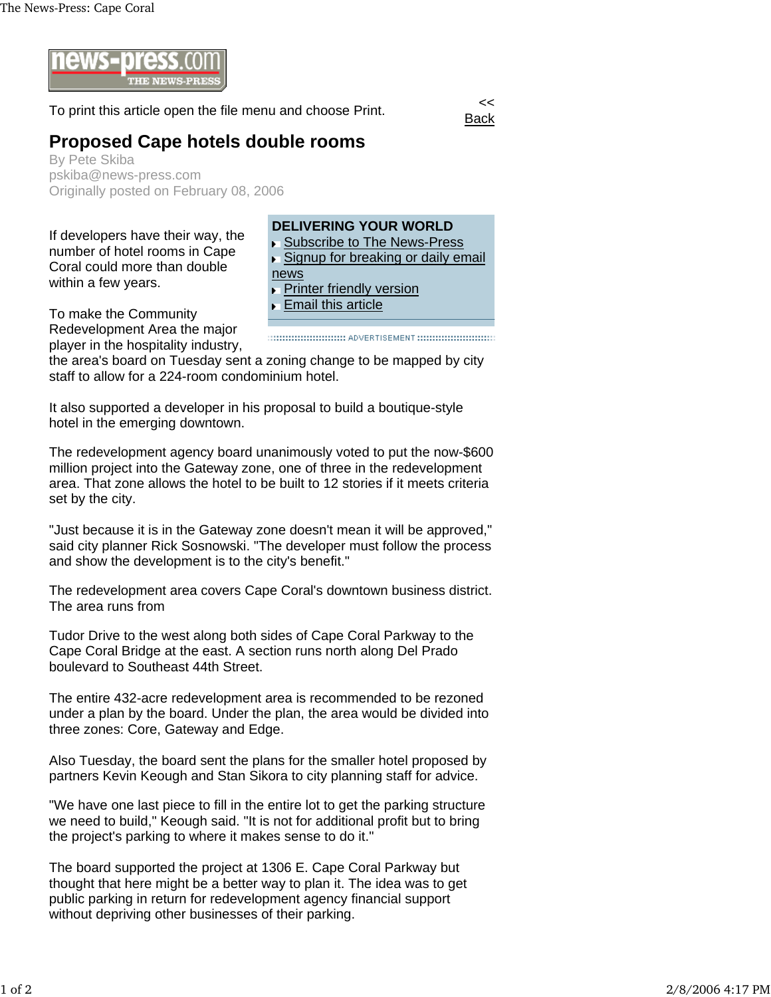

To print this article open the file menu and choose Print.

Back

## **Proposed Cape hotels double rooms**

By Pete Skiba pskiba@news-press.com Originally posted on February 08, 2006

If developers have their way, the number of hotel rooms in Cape Coral could more than double within a few years.

**DELIVERING YOUR WORLD** ▶ Subscribe to The News-Press ▶ Signup for breaking or daily email news Printer friendly version k. **Email this article** 

To make the Community Redevelopment Area the major player in the hospitality industry,

the area's board on Tuesday sent a zoning change to be mapped by city staff to allow for a 224-room condominium hotel.

It also supported a developer in his proposal to build a boutique-style hotel in the emerging downtown.

The redevelopment agency board unanimously voted to put the now-\$600 million project into the Gateway zone, one of three in the redevelopment area. That zone allows the hotel to be built to 12 stories if it meets criteria set by the city.

"Just because it is in the Gateway zone doesn't mean it will be approved," said city planner Rick Sosnowski. "The developer must follow the process and show the development is to the city's benefit."

The redevelopment area covers Cape Coral's downtown business district. The area runs from

Tudor Drive to the west along both sides of Cape Coral Parkway to the Cape Coral Bridge at the east. A section runs north along Del Prado boulevard to Southeast 44th Street.

The entire 432-acre redevelopment area is recommended to be rezoned under a plan by the board. Under the plan, the area would be divided into three zones: Core, Gateway and Edge.

Also Tuesday, the board sent the plans for the smaller hotel proposed by partners Kevin Keough and Stan Sikora to city planning staff for advice.

"We have one last piece to fill in the entire lot to get the parking structure we need to build," Keough said. "It is not for additional profit but to bring the project's parking to where it makes sense to do it."

The board supported the project at 1306 E. Cape Coral Parkway but thought that here might be a better way to plan it. The idea was to get public parking in return for redevelopment agency financial support without depriving other businesses of their parking.